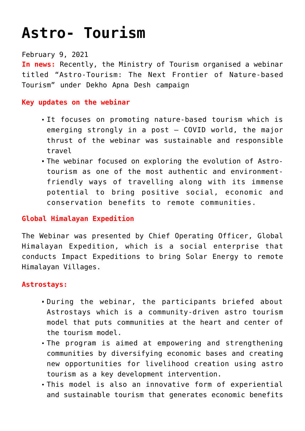# **[Astro- Tourism](https://journalsofindia.com/astro-tourism/)**

## February 9, 2021

**In news:** Recently, the Ministry of Tourism organised a webinar titled "Astro-Tourism: The Next Frontier of Nature-based Tourism" under Dekho Apna Desh campaign

## **Key updates on the webinar**

- It focuses on promoting nature-based tourism which is emerging strongly in a post – COVID world, the major thrust of the webinar was sustainable and responsible travel
- The webinar focused on exploring the evolution of Astrotourism as one of the most authentic and environmentfriendly ways of travelling along with its immense potential to bring positive social, economic and conservation benefits to remote communities.

## **Global Himalayan Expedition**

The Webinar was presented by Chief Operating Officer, Global Himalayan Expedition, which is a social enterprise that conducts Impact Expeditions to bring Solar Energy to remote Himalayan Villages.

#### **Astrostays:**

- During the webinar, the participants briefed about Astrostays which is a community-driven astro tourism model that puts communities at the heart and center of the tourism model.
- The program is aimed at empowering and strengthening communities by diversifying economic bases and creating new opportunities for livelihood creation using astro tourism as a key development intervention.
- This model is also an innovative form of experiential and sustainable tourism that generates economic benefits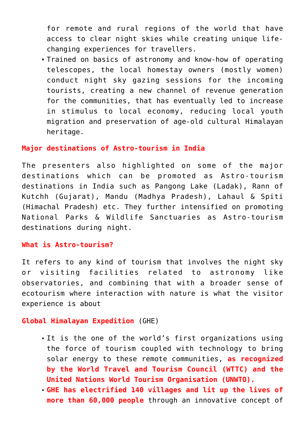for remote and rural regions of the world that have access to clear night skies while creating unique lifechanging experiences for travellers.

Trained on basics of astronomy and know-how of operating telescopes, the local homestay owners (mostly women) conduct night sky gazing sessions for the incoming tourists, creating a new channel of revenue generation for the communities, that has eventually led to increase in stimulus to local economy, reducing local youth migration and preservation of age-old cultural Himalayan heritage.

#### **Major destinations of Astro-tourism in India**

The presenters also highlighted on some of the major destinations which can be promoted as Astro-tourism destinations in India such as Pangong Lake (Ladak), Rann of Kutchh (Gujarat), Mandu (Madhya Pradesh), Lahaul & Spiti (Himachal Pradesh) etc. They further intensified on promoting National Parks & Wildlife Sanctuaries as Astro-tourism destinations during night.

#### **What is Astro-tourism?**

It refers to any kind of tourism that involves the night sky or visiting facilities related to astronomy like observatories, and combining that with a broader sense of ecotourism where interaction with nature is what the visitor experience is about

#### **Global Himalayan Expedition** (GHE)

- It is the one of the world's first organizations using the force of tourism coupled with technology to bring solar energy to these remote communities, **as recognized by the World Travel and Tourism Council (WTTC) and the United Nations World Tourism Organisation (UNWTO).**
- **GHE has electrified 140 villages and lit up the lives of more than 60,000 people** through an innovative concept of